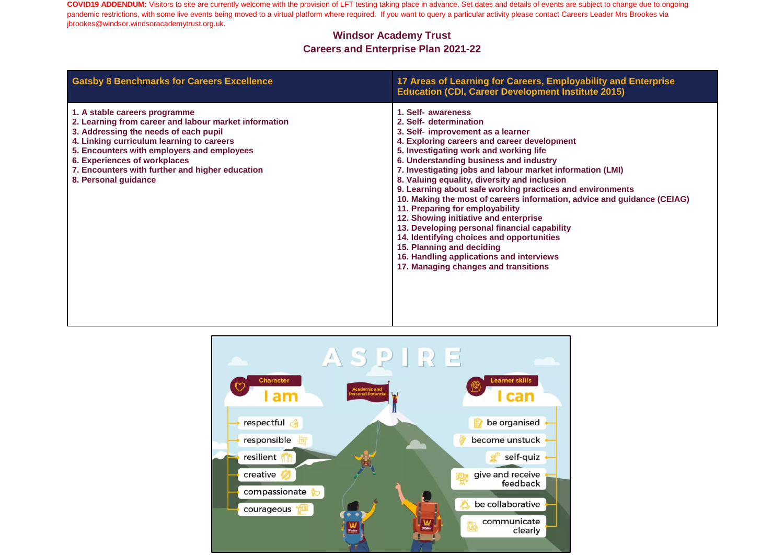| <b>Gatsby 8 Benchmarks for Careers Excellence</b>                                                                                                                                                                                                                                                                                     | 17 Areas of Learning for Careers, Employability and Enterprise<br><b>Education (CDI, Career Development Institute 2015)</b>                                                                                                                                                                                                                                                                                                                                                                                                                                                                                                                                                                                                                                         |
|---------------------------------------------------------------------------------------------------------------------------------------------------------------------------------------------------------------------------------------------------------------------------------------------------------------------------------------|---------------------------------------------------------------------------------------------------------------------------------------------------------------------------------------------------------------------------------------------------------------------------------------------------------------------------------------------------------------------------------------------------------------------------------------------------------------------------------------------------------------------------------------------------------------------------------------------------------------------------------------------------------------------------------------------------------------------------------------------------------------------|
| 1. A stable careers programme<br>2. Learning from career and labour market information<br>3. Addressing the needs of each pupil<br>4. Linking curriculum learning to careers<br>5. Encounters with employers and employees<br>6. Experiences of workplaces<br>7. Encounters with further and higher education<br>8. Personal guidance | 1. Self- awareness<br>2. Self- determination<br>3. Self- improvement as a learner<br>4. Exploring careers and career development<br>5. Investigating work and working life<br>6. Understanding business and industry<br>7. Investigating jobs and labour market information (LMI)<br>8. Valuing equality, diversity and inclusion<br>9. Learning about safe working practices and environments<br>10. Making the most of careers information, advice and guidance (CEIAG)<br>11. Preparing for employability<br>12. Showing initiative and enterprise<br>13. Developing personal financial capability<br>14. Identifying choices and opportunities<br>15. Planning and deciding<br>16. Handling applications and interviews<br>17. Managing changes and transitions |

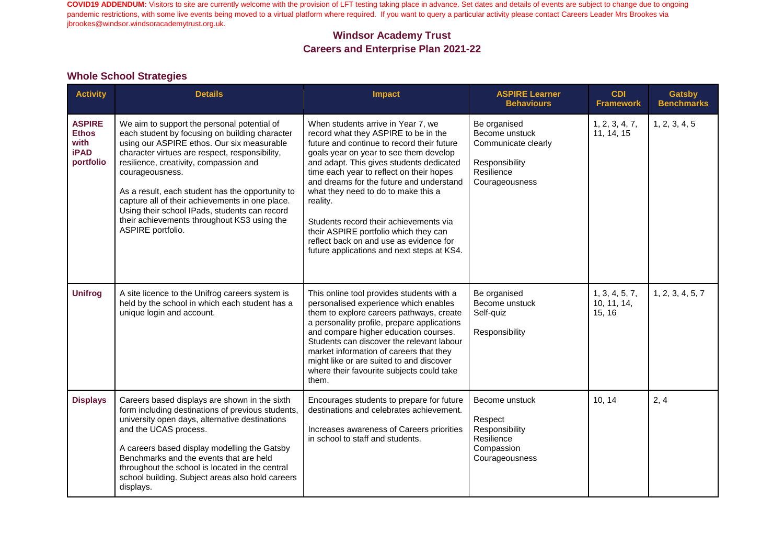### **Windsor Academy Trust Careers and Enterprise Plan 2021-22**

#### **Whole School Strategies**

| <b>Activity</b>                                                   | <b>Details</b>                                                                                                                                                                                                                                                                                                                                                                                                                                                                         | Impact                                                                                                                                                                                                                                                                                                                                                                                                                                                                                                                                | <b>ASPIRE Learner</b><br><b>Behaviours</b>                                                              | <b>CDI</b><br><b>Framework</b>          | <b>Gatsby</b><br><b>Benchmarks</b> |
|-------------------------------------------------------------------|----------------------------------------------------------------------------------------------------------------------------------------------------------------------------------------------------------------------------------------------------------------------------------------------------------------------------------------------------------------------------------------------------------------------------------------------------------------------------------------|---------------------------------------------------------------------------------------------------------------------------------------------------------------------------------------------------------------------------------------------------------------------------------------------------------------------------------------------------------------------------------------------------------------------------------------------------------------------------------------------------------------------------------------|---------------------------------------------------------------------------------------------------------|-----------------------------------------|------------------------------------|
| <b>ASPIRE</b><br><b>Ethos</b><br>with<br><b>iPAD</b><br>portfolio | We aim to support the personal potential of<br>each student by focusing on building character<br>using our ASPIRE ethos. Our six measurable<br>character virtues are respect, responsibility,<br>resilience, creativity, compassion and<br>courageousness.<br>As a result, each student has the opportunity to<br>capture all of their achievements in one place.<br>Using their school IPads, students can record<br>their achievements throughout KS3 using the<br>ASPIRE portfolio. | When students arrive in Year 7, we<br>record what they ASPIRE to be in the<br>future and continue to record their future<br>goals year on year to see them develop<br>and adapt. This gives students dedicated<br>time each year to reflect on their hopes<br>and dreams for the future and understand<br>what they need to do to make this a<br>reality.<br>Students record their achievements via<br>their ASPIRE portfolio which they can<br>reflect back on and use as evidence for<br>future applications and next steps at KS4. | Be organised<br>Become unstuck<br>Communicate clearly<br>Responsibility<br>Resilience<br>Courageousness | 1, 2, 3, 4, 7,<br>11, 14, 15            | 1, 2, 3, 4, 5                      |
| <b>Unifrog</b>                                                    | A site licence to the Unifrog careers system is<br>held by the school in which each student has a<br>unique login and account.                                                                                                                                                                                                                                                                                                                                                         | This online tool provides students with a<br>personalised experience which enables<br>them to explore careers pathways, create<br>a personality profile, prepare applications<br>and compare higher education courses.<br>Students can discover the relevant labour<br>market information of careers that they<br>might like or are suited to and discover<br>where their favourite subjects could take<br>them.                                                                                                                      | Be organised<br>Become unstuck<br>Self-quiz<br>Responsibility                                           | 1, 3, 4, 5, 7,<br>10, 11, 14,<br>15, 16 | 1, 2, 3, 4, 5, 7                   |
| <b>Displays</b>                                                   | Careers based displays are shown in the sixth<br>form including destinations of previous students,<br>university open days, alternative destinations<br>and the UCAS process.<br>A careers based display modelling the Gatsby<br>Benchmarks and the events that are held<br>throughout the school is located in the central<br>school building. Subject areas also hold careers<br>displays.                                                                                           | Encourages students to prepare for future<br>destinations and celebrates achievement.<br>Increases awareness of Careers priorities<br>in school to staff and students.                                                                                                                                                                                                                                                                                                                                                                | Become unstuck<br>Respect<br>Responsibility<br>Resilience<br>Compassion<br>Courageousness               | 10, 14                                  | 2, 4                               |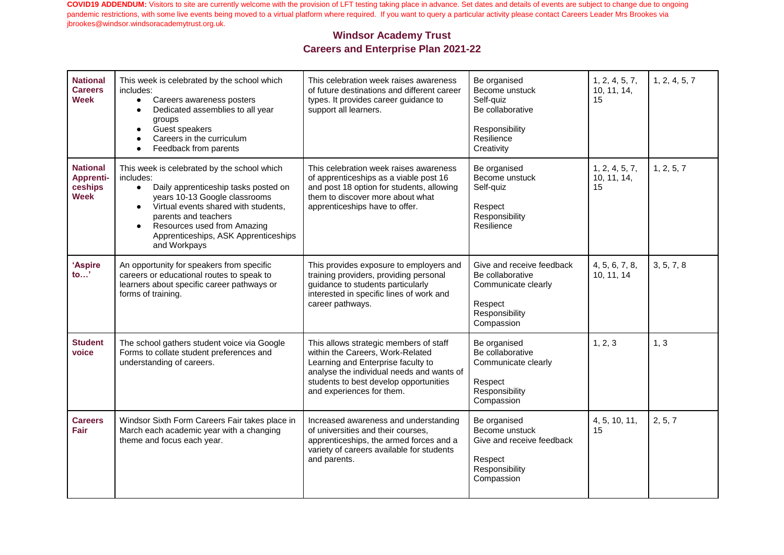| <b>National</b><br><b>Careers</b><br><b>Week</b>              | This week is celebrated by the school which<br>includes:<br>$\bullet$<br>Careers awareness posters<br>Dedicated assemblies to all year<br>$\bullet$<br>groups<br>Guest speakers<br>$\bullet$<br>Careers in the curriculum<br>Feedback from parents<br>٠                                                                         | This celebration week raises awareness<br>of future destinations and different career<br>types. It provides career guidance to<br>support all learners.                                                                              | Be organised<br>Become unstuck<br>Self-quiz<br>Be collaborative<br>Responsibility<br>Resilience<br>Creativity   | 1, 2, 4, 5, 7,<br>10, 11, 14,<br>15 | 1, 2, 4, 5, 7 |
|---------------------------------------------------------------|---------------------------------------------------------------------------------------------------------------------------------------------------------------------------------------------------------------------------------------------------------------------------------------------------------------------------------|--------------------------------------------------------------------------------------------------------------------------------------------------------------------------------------------------------------------------------------|-----------------------------------------------------------------------------------------------------------------|-------------------------------------|---------------|
| <b>National</b><br><b>Apprenti-</b><br>ceships<br><b>Week</b> | This week is celebrated by the school which<br>includes:<br>Daily apprenticeship tasks posted on<br>$\bullet$<br>years 10-13 Google classrooms<br>Virtual events shared with students,<br>$\bullet$<br>parents and teachers<br>Resources used from Amazing<br>$\bullet$<br>Apprenticeships, ASK Apprenticeships<br>and Workpays | This celebration week raises awareness<br>of apprenticeships as a viable post 16<br>and post 18 option for students, allowing<br>them to discover more about what<br>apprenticeships have to offer.                                  | Be organised<br>Become unstuck<br>Self-quiz<br>Respect<br>Responsibility<br>Resilience                          | 1, 2, 4, 5, 7,<br>10, 11, 14,<br>15 | 1, 2, 5, 7    |
| 'Aspire<br>to'                                                | An opportunity for speakers from specific<br>careers or educational routes to speak to<br>learners about specific career pathways or<br>forms of training.                                                                                                                                                                      | This provides exposure to employers and<br>training providers, providing personal<br>guidance to students particularly<br>interested in specific lines of work and<br>career pathways.                                               | Give and receive feedback<br>Be collaborative<br>Communicate clearly<br>Respect<br>Responsibility<br>Compassion | 4, 5, 6, 7, 8,<br>10, 11, 14        | 3, 5, 7, 8    |
| <b>Student</b><br>voice                                       | The school gathers student voice via Google<br>Forms to collate student preferences and<br>understanding of careers.                                                                                                                                                                                                            | This allows strategic members of staff<br>within the Careers, Work-Related<br>Learning and Enterprise faculty to<br>analyse the individual needs and wants of<br>students to best develop opportunities<br>and experiences for them. | Be organised<br>Be collaborative<br>Communicate clearly<br>Respect<br>Responsibility<br>Compassion              | 1, 2, 3                             | 1, 3          |
| <b>Careers</b><br>Fair                                        | Windsor Sixth Form Careers Fair takes place in<br>March each academic year with a changing<br>theme and focus each year.                                                                                                                                                                                                        | Increased awareness and understanding<br>of universities and their courses.<br>apprenticeships, the armed forces and a<br>variety of careers available for students<br>and parents.                                                  | Be organised<br>Become unstuck<br>Give and receive feedback<br>Respect<br>Responsibility<br>Compassion          | 4, 5, 10, 11,<br>15                 | 2, 5, 7       |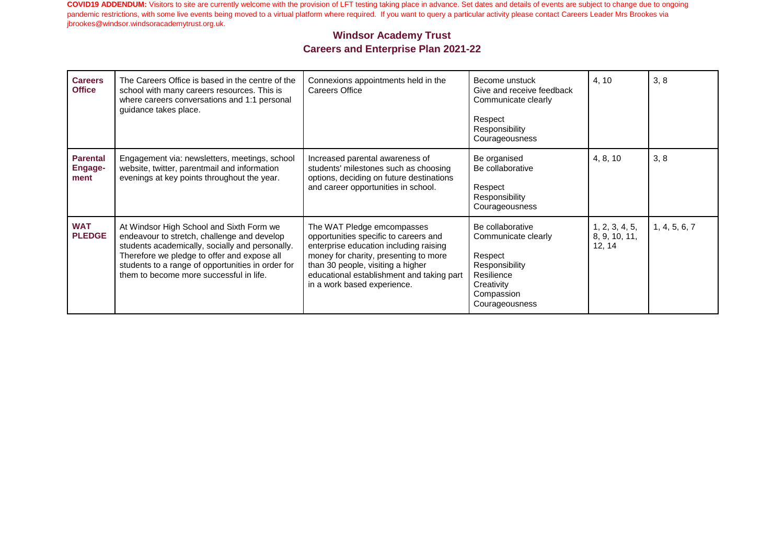| <b>Careers</b><br><b>Office</b>           | The Careers Office is based in the centre of the<br>school with many careers resources. This is<br>where careers conversations and 1:1 personal<br>guidance takes place.                                                                                                                  | Connexions appointments held in the<br>Careers Office                                                                                                                                                                                                                   | Become unstuck<br>Give and receive feedback<br>Communicate clearly<br>Respect<br>Responsibility<br>Courageousness                | 4, 10                                     | 3, 8          |
|-------------------------------------------|-------------------------------------------------------------------------------------------------------------------------------------------------------------------------------------------------------------------------------------------------------------------------------------------|-------------------------------------------------------------------------------------------------------------------------------------------------------------------------------------------------------------------------------------------------------------------------|----------------------------------------------------------------------------------------------------------------------------------|-------------------------------------------|---------------|
| <b>Parental</b><br><b>Engage-</b><br>ment | Engagement via: newsletters, meetings, school<br>website, twitter, parentmail and information<br>evenings at key points throughout the year.                                                                                                                                              | Increased parental awareness of<br>students' milestones such as choosing<br>options, deciding on future destinations<br>and career opportunities in school.                                                                                                             | Be organised<br>Be collaborative<br>Respect<br>Responsibility<br>Courageousness                                                  | 4, 8, 10                                  | 3, 8          |
| <b>WAT</b><br><b>PLEDGE</b>               | At Windsor High School and Sixth Form we<br>endeavour to stretch, challenge and develop<br>students academically, socially and personally.<br>Therefore we pledge to offer and expose all<br>students to a range of opportunities in order for<br>them to become more successful in life. | The WAT Pledge emcompasses<br>opportunities specific to careers and<br>enterprise education including raising<br>money for charity, presenting to more<br>than 30 people, visiting a higher<br>educational establishment and taking part<br>in a work based experience. | Be collaborative<br>Communicate clearly<br>Respect<br>Responsibility<br>Resilience<br>Creativity<br>Compassion<br>Courageousness | 1, 2, 3, 4, 5,<br>8, 9, 10, 11,<br>12, 14 | 1, 4, 5, 6, 7 |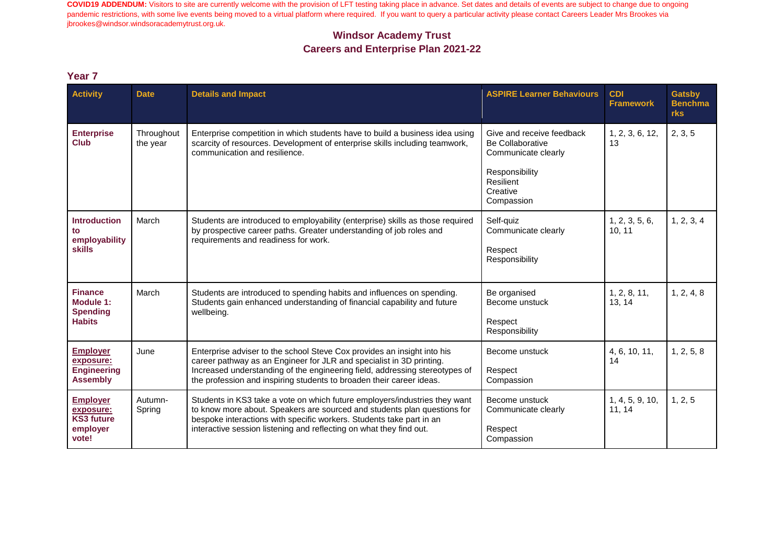#### **Windsor Academy Trust Careers and Enterprise Plan 2021-22**

| <b>Activity</b>                                                        | <b>Date</b>            | <b>Details and Impact</b>                                                                                                                                                                                                                                                                              | <b>ASPIRE Learner Behaviours</b>                                            | <b>CDI</b><br><b>Framework</b> | <b>Gatsby</b><br><b>Benchma</b><br>rks |
|------------------------------------------------------------------------|------------------------|--------------------------------------------------------------------------------------------------------------------------------------------------------------------------------------------------------------------------------------------------------------------------------------------------------|-----------------------------------------------------------------------------|--------------------------------|----------------------------------------|
| <b>Enterprise</b><br><b>Club</b>                                       | Throughout<br>the year | Enterprise competition in which students have to build a business idea using<br>scarcity of resources. Development of enterprise skills including teamwork,<br>communication and resilience.                                                                                                           | Give and receive feedback<br><b>Be Collaborative</b><br>Communicate clearly | 1, 2, 3, 6, 12,<br>13          | 2, 3, 5                                |
|                                                                        |                        |                                                                                                                                                                                                                                                                                                        | Responsibility<br>Resilient<br>Creative<br>Compassion                       |                                |                                        |
| <b>Introduction</b><br>employability<br><b>skills</b>                  | March                  | Students are introduced to employability (enterprise) skills as those required<br>by prospective career paths. Greater understanding of job roles and<br>requirements and readiness for work.                                                                                                          | Self-quiz<br>Communicate clearly<br>Respect<br>Responsibility               | 1, 2, 3, 5, 6,<br>10, 11       | 1, 2, 3, 4                             |
| <b>Finance</b><br>Module 1:<br><b>Spending</b><br><b>Habits</b>        | March                  | Students are introduced to spending habits and influences on spending.<br>Students gain enhanced understanding of financial capability and future<br>wellbeing.                                                                                                                                        | Be organised<br>Become unstuck<br>Respect<br>Responsibility                 | 1, 2, 8, 11,<br>13.14          | 1, 2, 4, 8                             |
| <b>Employer</b><br>exposure:<br><b>Engineering</b><br><b>Assembly</b>  | June                   | Enterprise adviser to the school Steve Cox provides an insight into his<br>career pathway as an Engineer for JLR and specialist in 3D printing.<br>Increased understanding of the engineering field, addressing stereotypes of<br>the profession and inspiring students to broaden their career ideas. | Become unstuck<br>Respect<br>Compassion                                     | 4, 6, 10, 11,<br>14            | 1, 2, 5, 8                             |
| <b>Employer</b><br>exposure:<br><b>KS3 future</b><br>employer<br>vote! | Autumn-<br>Spring      | Students in KS3 take a vote on which future employers/industries they want<br>to know more about. Speakers are sourced and students plan questions for<br>bespoke interactions with specific workers. Students take part in an<br>interactive session listening and reflecting on what they find out.  | Become unstuck<br>Communicate clearly<br>Respect<br>Compassion              | 1, 4, 5, 9, 10,<br>11, 14      | 1, 2, 5                                |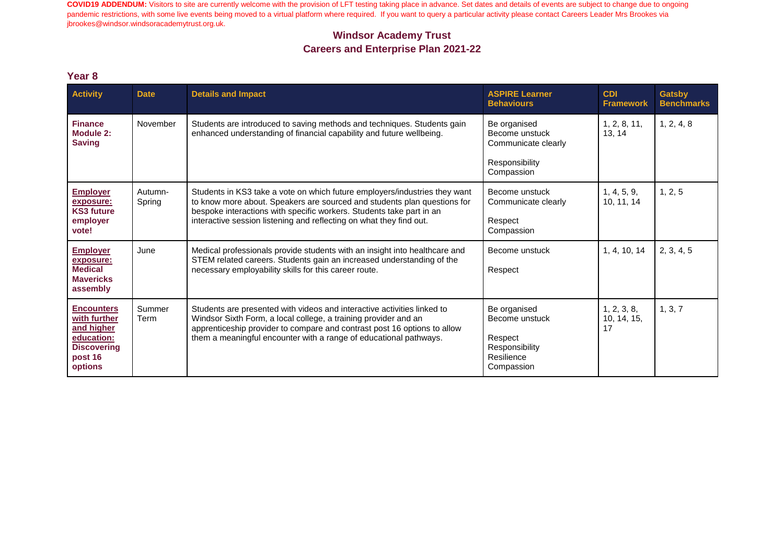#### **Windsor Academy Trust Careers and Enterprise Plan 2021-22**

| <b>Activity</b>                                                                                           | <b>Date</b>       | <b>Details and Impact</b>                                                                                                                                                                                                                                                                             | <b>ASPIRE Learner</b><br><b>Behaviours</b>                                              | <b>CDI</b><br><b>Framework</b>   | <b>Gatsby</b><br><b>Benchmarks</b> |
|-----------------------------------------------------------------------------------------------------------|-------------------|-------------------------------------------------------------------------------------------------------------------------------------------------------------------------------------------------------------------------------------------------------------------------------------------------------|-----------------------------------------------------------------------------------------|----------------------------------|------------------------------------|
| <b>Finance</b><br>Module 2:<br><b>Saving</b>                                                              | November          | Students are introduced to saving methods and techniques. Students gain<br>enhanced understanding of financial capability and future wellbeing.                                                                                                                                                       | Be organised<br>Become unstuck<br>Communicate clearly<br>Responsibility<br>Compassion   | 1, 2, 8, 11,<br>13, 14           | 1, 2, 4, 8                         |
| <b>Employer</b><br>exposure:<br><b>KS3 future</b><br>employer<br>vote!                                    | Autumn-<br>Spring | Students in KS3 take a vote on which future employers/industries they want<br>to know more about. Speakers are sourced and students plan questions for<br>bespoke interactions with specific workers. Students take part in an<br>interactive session listening and reflecting on what they find out. | Become unstuck<br>Communicate clearly<br>Respect<br>Compassion                          | 1, 4, 5, 9,<br>10, 11, 14        | 1, 2, 5                            |
| <b>Employer</b><br>exposure:<br><b>Medical</b><br><b>Mavericks</b><br>assembly                            | June              | Medical professionals provide students with an insight into healthcare and<br>STEM related careers. Students gain an increased understanding of the<br>necessary employability skills for this career route.                                                                                          | Become unstuck<br>Respect                                                               | 1, 4, 10, 14                     | 2, 3, 4, 5                         |
| <b>Encounters</b><br>with further<br>and higher<br>education:<br><b>Discovering</b><br>post 16<br>options | Summer<br>Term    | Students are presented with videos and interactive activities linked to<br>Windsor Sixth Form, a local college, a training provider and an<br>apprenticeship provider to compare and contrast post 16 options to allow<br>them a meaningful encounter with a range of educational pathways.           | Be organised<br>Become unstuck<br>Respect<br>Responsibility<br>Resilience<br>Compassion | 1, 2, 3, 8,<br>10, 14, 15,<br>17 | 1, 3, 7                            |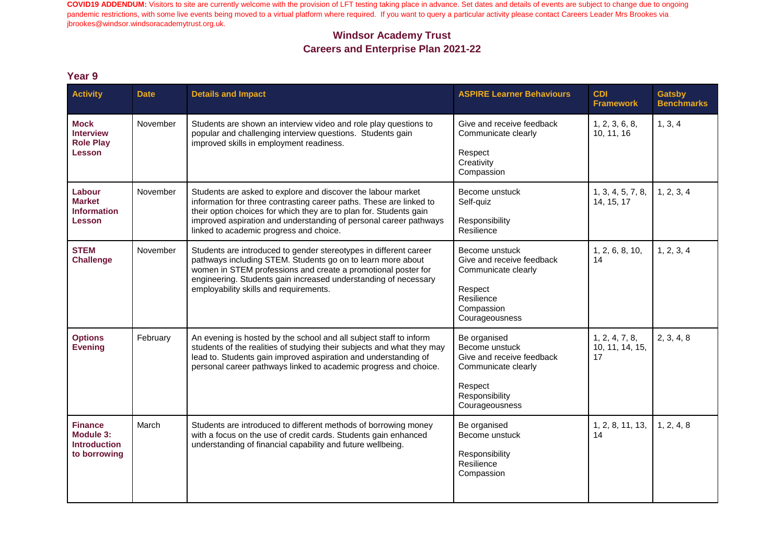### **Windsor Academy Trust Careers and Enterprise Plan 2021-22**

| <b>Activity</b>                                                    | <b>Date</b> | <b>Details and Impact</b>                                                                                                                                                                                                                                                                                                 | <b>ASPIRE Learner Behaviours</b>                                                                                                  | <b>CDI</b><br><b>Framework</b>          | <b>Gatsby</b><br><b>Benchmarks</b> |
|--------------------------------------------------------------------|-------------|---------------------------------------------------------------------------------------------------------------------------------------------------------------------------------------------------------------------------------------------------------------------------------------------------------------------------|-----------------------------------------------------------------------------------------------------------------------------------|-----------------------------------------|------------------------------------|
| <b>Mock</b><br><b>Interview</b><br><b>Role Play</b><br>Lesson      | November    | Students are shown an interview video and role play questions to<br>popular and challenging interview questions. Students gain<br>improved skills in employment readiness.                                                                                                                                                | Give and receive feedback<br>Communicate clearly<br>Respect<br>Creativity<br>Compassion                                           | 1, 2, 3, 6, 8,<br>10, 11, 16            | 1, 3, 4                            |
| Labour<br><b>Market</b><br><b>Information</b><br>Lesson            | November    | Students are asked to explore and discover the labour market<br>information for three contrasting career paths. These are linked to<br>their option choices for which they are to plan for. Students gain<br>improved aspiration and understanding of personal career pathways<br>linked to academic progress and choice. | Become unstuck<br>Self-quiz<br>Responsibility<br>Resilience                                                                       | 1, 3, 4, 5, 7, 8,<br>14, 15, 17         | 1, 2, 3, 4                         |
| <b>STEM</b><br><b>Challenge</b>                                    | November    | Students are introduced to gender stereotypes in different career<br>pathways including STEM. Students go on to learn more about<br>women in STEM professions and create a promotional poster for<br>engineering. Students gain increased understanding of necessary<br>employability skills and requirements.            | Become unstuck<br>Give and receive feedback<br>Communicate clearly<br>Respect<br>Resilience<br>Compassion<br>Courageousness       | 1, 2, 6, 8, 10,<br>14                   | 1, 2, 3, 4                         |
| <b>Options</b><br><b>Evening</b>                                   | February    | An evening is hosted by the school and all subject staff to inform<br>students of the realities of studying their subjects and what they may<br>lead to. Students gain improved aspiration and understanding of<br>personal career pathways linked to academic progress and choice.                                       | Be organised<br>Become unstuck<br>Give and receive feedback<br>Communicate clearly<br>Respect<br>Responsibility<br>Courageousness | 1, 2, 4, 7, 8,<br>10, 11, 14, 15,<br>17 | 2, 3, 4, 8                         |
| <b>Finance</b><br>Module 3:<br><b>Introduction</b><br>to borrowing | March       | Students are introduced to different methods of borrowing money<br>with a focus on the use of credit cards. Students gain enhanced<br>understanding of financial capability and future wellbeing.                                                                                                                         | Be organised<br>Become unstuck<br>Responsibility<br>Resilience<br>Compassion                                                      | 1, 2, 8, 11, 13,<br>14                  | 1, 2, 4, 8                         |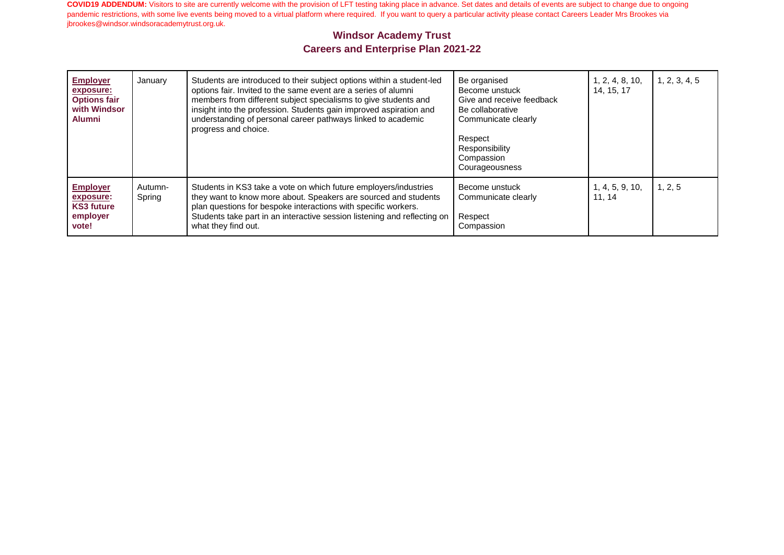| <b>Employer</b><br>exposure:<br><b>Options fair</b><br>with Windsor<br><b>Alumni</b> | January           | Students are introduced to their subject options within a student-led<br>options fair. Invited to the same event are a series of alumni<br>members from different subject specialisms to give students and<br>insight into the profession. Students gain improved aspiration and<br>understanding of personal career pathways linked to academic<br>progress and choice. | Be organised<br>Become unstuck<br>Give and receive feedback<br>Be collaborative<br>Communicate clearly<br>Respect<br>Responsibility<br>Compassion<br>Courageousness | 1, 2, 4, 8, 10,<br>14, 15, 17 | 1, 2, 3, 4, 5 |
|--------------------------------------------------------------------------------------|-------------------|--------------------------------------------------------------------------------------------------------------------------------------------------------------------------------------------------------------------------------------------------------------------------------------------------------------------------------------------------------------------------|---------------------------------------------------------------------------------------------------------------------------------------------------------------------|-------------------------------|---------------|
| <b>Employer</b><br>exposure:<br><b>KS3 future</b><br>employer<br>vote!               | Autumn-<br>Spring | Students in KS3 take a vote on which future employers/industries<br>they want to know more about. Speakers are sourced and students<br>plan questions for bespoke interactions with specific workers.<br>Students take part in an interactive session listening and reflecting on<br>what they find out.                                                                 | Become unstuck<br>Communicate clearly<br>Respect<br>Compassion                                                                                                      | 1, 4, 5, 9, 10,<br>11.14      | 1, 2, 5       |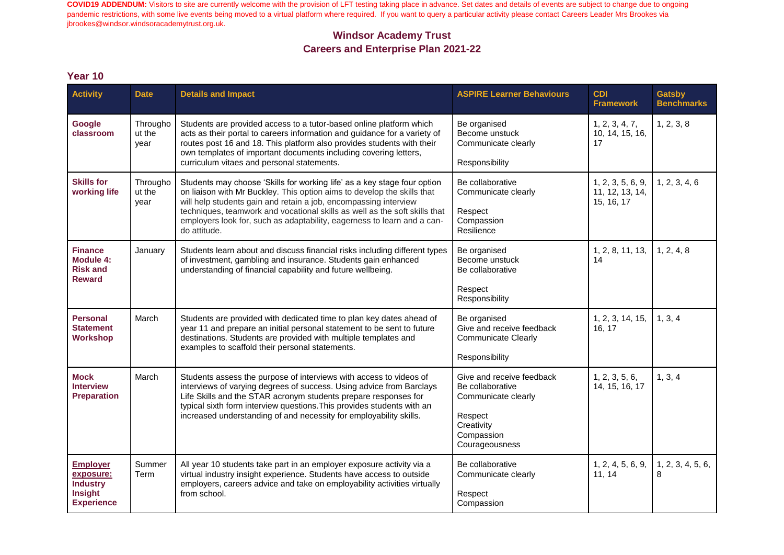### **Windsor Academy Trust Careers and Enterprise Plan 2021-22**

| <b>Activity</b>                                                                        | <b>Date</b>                | <b>Details and Impact</b>                                                                                                                                                                                                                                                                                                                                                                        | <b>ASPIRE Learner Behaviours</b>                                                                                              | <b>CDI</b><br><b>Framework</b>                     | <b>Gatsby</b><br><b>Benchmarks</b> |
|----------------------------------------------------------------------------------------|----------------------------|--------------------------------------------------------------------------------------------------------------------------------------------------------------------------------------------------------------------------------------------------------------------------------------------------------------------------------------------------------------------------------------------------|-------------------------------------------------------------------------------------------------------------------------------|----------------------------------------------------|------------------------------------|
| Google<br>classroom                                                                    | Througho<br>ut the<br>year | Students are provided access to a tutor-based online platform which<br>acts as their portal to careers information and guidance for a variety of<br>routes post 16 and 18. This platform also provides students with their<br>own templates of important documents including covering letters,<br>curriculum vitaes and personal statements.                                                     | Be organised<br>Become unstuck<br>Communicate clearly<br>Responsibility                                                       | 1, 2, 3, 4, 7,<br>10, 14, 15, 16,<br>17            | 1, 2, 3, 8                         |
| <b>Skills for</b><br>working life                                                      | Througho<br>ut the<br>year | Students may choose 'Skills for working life' as a key stage four option<br>on liaison with Mr Buckley. This option aims to develop the skills that<br>will help students gain and retain a job, encompassing interview<br>techniques, teamwork and vocational skills as well as the soft skills that<br>employers look for, such as adaptability, eagerness to learn and a can-<br>do attitude. | Be collaborative<br>Communicate clearly<br>Respect<br>Compassion<br>Resilience                                                | 1, 2, 3, 5, 6, 9,<br>11, 12, 13, 14,<br>15, 16, 17 | 1, 2, 3, 4, 6                      |
| <b>Finance</b><br>Module 4:<br><b>Risk and</b><br><b>Reward</b>                        | January                    | Students learn about and discuss financial risks including different types<br>of investment, gambling and insurance. Students gain enhanced<br>understanding of financial capability and future wellbeing.                                                                                                                                                                                       | Be organised<br>Become unstuck<br>Be collaborative<br>Respect<br>Responsibility                                               | 1, 2, 8, 11, 13,<br>14                             | 1, 2, 4, 8                         |
| <b>Personal</b><br><b>Statement</b><br>Workshop                                        | March                      | Students are provided with dedicated time to plan key dates ahead of<br>year 11 and prepare an initial personal statement to be sent to future<br>destinations. Students are provided with multiple templates and<br>examples to scaffold their personal statements.                                                                                                                             | Be organised<br>Give and receive feedback<br><b>Communicate Clearly</b><br>Responsibility                                     | 1, 2, 3, 14, 15,<br>16, 17                         | 1, 3, 4                            |
| <b>Mock</b><br><b>Interview</b><br><b>Preparation</b>                                  | March                      | Students assess the purpose of interviews with access to videos of<br>interviews of varying degrees of success. Using advice from Barclays<br>Life Skills and the STAR acronym students prepare responses for<br>typical sixth form interview questions. This provides students with an<br>increased understanding of and necessity for employability skills.                                    | Give and receive feedback<br>Be collaborative<br>Communicate clearly<br>Respect<br>Creativity<br>Compassion<br>Courageousness | 1, 2, 3, 5, 6,<br>14, 15, 16, 17                   | 1, 3, 4                            |
| <b>Employer</b><br>exposure:<br><b>Industry</b><br><b>Insight</b><br><b>Experience</b> | Summer<br>Term             | All year 10 students take part in an employer exposure activity via a<br>virtual industry insight experience. Students have access to outside<br>employers, careers advice and take on employability activities virtually<br>from school.                                                                                                                                                        | Be collaborative<br>Communicate clearly<br>Respect<br>Compassion                                                              | 1, 2, 4, 5, 6, 9,<br>11, 14                        | 1, 2, 3, 4, 5, 6,<br>8             |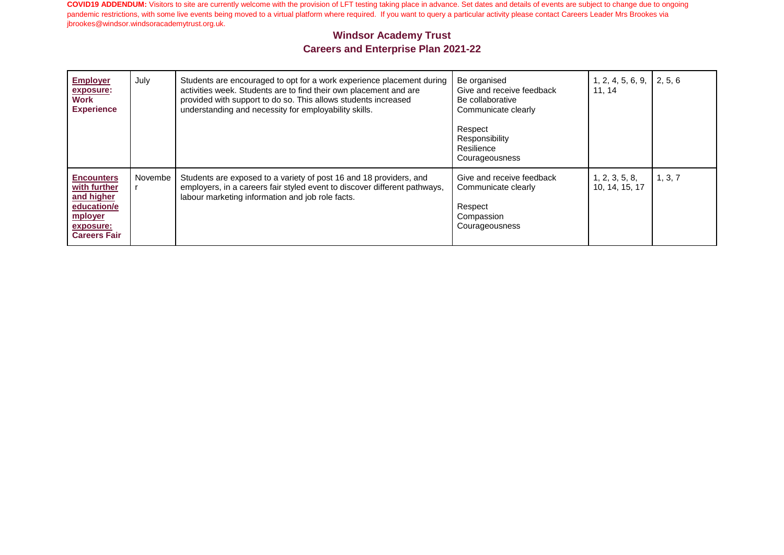| <b>Employer</b><br>exposure:<br>Work<br><b>Experience</b>                                                     | July    | Students are encouraged to opt for a work experience placement during<br>activities week. Students are to find their own placement and are<br>provided with support to do so. This allows students increased<br>understanding and necessity for employability skills. | Be organised<br>Give and receive feedback<br>Be collaborative<br>Communicate clearly<br>Respect<br>Responsibility<br>Resilience<br>Courageousness | 1, 2, 4, 5, 6, 9,<br>11.14       | 2, 5, 6 |
|---------------------------------------------------------------------------------------------------------------|---------|-----------------------------------------------------------------------------------------------------------------------------------------------------------------------------------------------------------------------------------------------------------------------|---------------------------------------------------------------------------------------------------------------------------------------------------|----------------------------------|---------|
| <b>Encounters</b><br>with further<br>and higher<br>education/e<br>mployer<br>exposure:<br><b>Careers Fair</b> | Novembe | Students are exposed to a variety of post 16 and 18 providers, and<br>employers, in a careers fair styled event to discover different pathways,<br>labour marketing information and job role facts.                                                                   | Give and receive feedback<br>Communicate clearly<br>Respect<br>Compassion<br>Courageousness                                                       | 1, 2, 3, 5, 8,<br>10, 14, 15, 17 | 1, 3, 7 |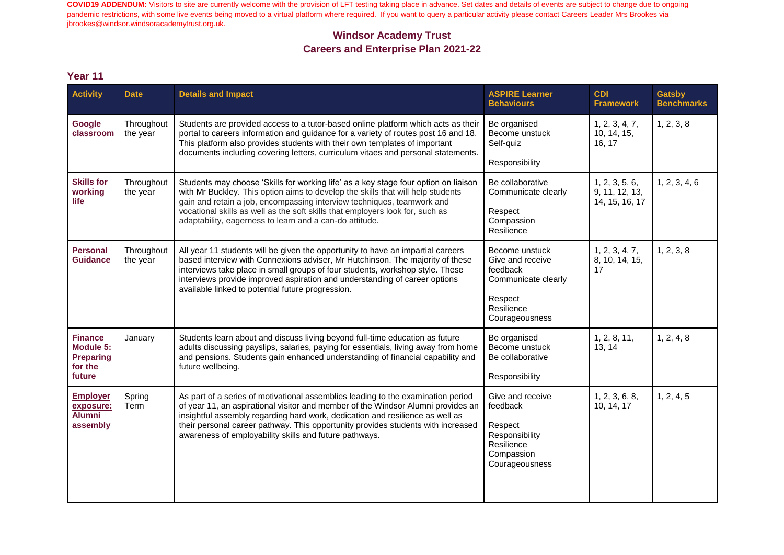### **Windsor Academy Trust Careers and Enterprise Plan 2021-22**

| <b>Activity</b>                                                      | <b>Date</b>            | <b>Details and Impact</b>                                                                                                                                                                                                                                                                                                                                                                           | <b>ASPIRE Learner</b><br><b>Behaviours</b>                                                                       | <b>CDI</b><br><b>Framework</b>                     | <b>Gatsby</b><br><b>Benchmarks</b> |
|----------------------------------------------------------------------|------------------------|-----------------------------------------------------------------------------------------------------------------------------------------------------------------------------------------------------------------------------------------------------------------------------------------------------------------------------------------------------------------------------------------------------|------------------------------------------------------------------------------------------------------------------|----------------------------------------------------|------------------------------------|
| Google<br>classroom                                                  | Throughout<br>the year | Students are provided access to a tutor-based online platform which acts as their<br>portal to careers information and guidance for a variety of routes post 16 and 18.<br>This platform also provides students with their own templates of important<br>documents including covering letters, curriculum vitaes and personal statements.                                                           | Be organised<br>Become unstuck<br>Self-quiz<br>Responsibility                                                    | 1, 2, 3, 4, 7,<br>10, 14, 15,<br>16, 17            | 1, 2, 3, 8                         |
| <b>Skills for</b><br>working<br><b>life</b>                          | Throughout<br>the year | Students may choose 'Skills for working life' as a key stage four option on liaison<br>with Mr Buckley. This option aims to develop the skills that will help students<br>gain and retain a job, encompassing interview techniques, teamwork and<br>vocational skills as well as the soft skills that employers look for, such as<br>adaptability, eagerness to learn and a can-do attitude.        | Be collaborative<br>Communicate clearly<br>Respect<br>Compassion<br>Resilience                                   | 1, 2, 3, 5, 6,<br>9, 11, 12, 13,<br>14, 15, 16, 17 | 1, 2, 3, 4, 6                      |
| <b>Personal</b><br><b>Guidance</b>                                   | Throughout<br>the year | All year 11 students will be given the opportunity to have an impartial careers<br>based interview with Connexions adviser, Mr Hutchinson. The majority of these<br>interviews take place in small groups of four students, workshop style. These<br>interviews provide improved aspiration and understanding of career options<br>available linked to potential future progression.                | Become unstuck<br>Give and receive<br>feedback<br>Communicate clearly<br>Respect<br>Resilience<br>Courageousness | 1, 2, 3, 4, 7,<br>8, 10, 14, 15,<br>17             | 1, 2, 3, 8                         |
| <b>Finance</b><br>Module 5:<br><b>Preparing</b><br>for the<br>future | January                | Students learn about and discuss living beyond full-time education as future<br>adults discussing payslips, salaries, paying for essentials, living away from home<br>and pensions. Students gain enhanced understanding of financial capability and<br>future wellbeing.                                                                                                                           | Be organised<br>Become unstuck<br>Be collaborative<br>Responsibility                                             | 1, 2, 8, 11,<br>13, 14                             | 1, 2, 4, 8                         |
| <b>Employer</b><br>exposure:<br><b>Alumni</b><br>assembly            | Spring<br>Term         | As part of a series of motivational assemblies leading to the examination period<br>of year 11, an aspirational visitor and member of the Windsor Alumni provides an<br>insightful assembly regarding hard work, dedication and resilience as well as<br>their personal career pathway. This opportunity provides students with increased<br>awareness of employability skills and future pathways. | Give and receive<br>feedback<br>Respect<br>Responsibility<br>Resilience<br>Compassion<br>Courageousness          | 1, 2, 3, 6, 8,<br>10, 14, 17                       | 1, 2, 4, 5                         |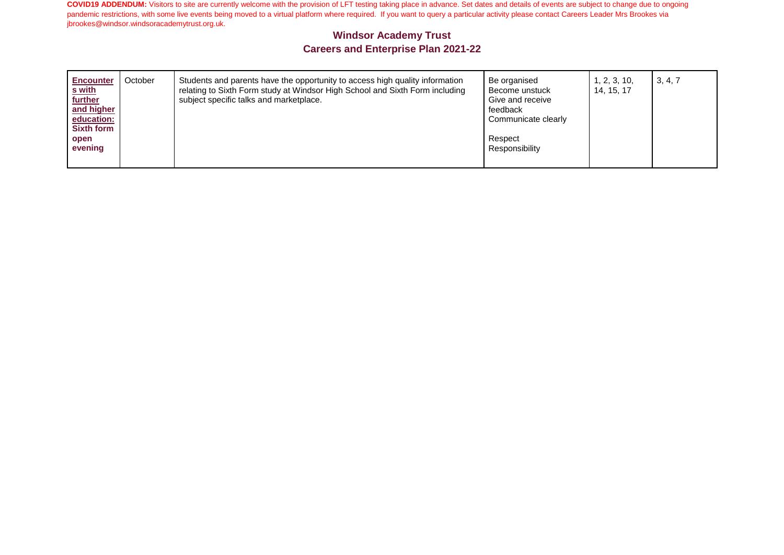| <b>Encounter</b><br>s with<br>further<br>and higher<br>education:<br><b>Sixth form</b><br>open<br>evening | October | Students and parents have the opportunity to access high quality information<br>relating to Sixth Form study at Windsor High School and Sixth Form including<br>subject specific talks and marketplace. | Be organised<br>Become unstuck<br>Give and receive<br>feedback<br>Communicate clearly<br>Respect<br>Responsibility | 1, 2, 3, 10,<br>14, 15, 17 | 3, 4, 7 |
|-----------------------------------------------------------------------------------------------------------|---------|---------------------------------------------------------------------------------------------------------------------------------------------------------------------------------------------------------|--------------------------------------------------------------------------------------------------------------------|----------------------------|---------|
|-----------------------------------------------------------------------------------------------------------|---------|---------------------------------------------------------------------------------------------------------------------------------------------------------------------------------------------------------|--------------------------------------------------------------------------------------------------------------------|----------------------------|---------|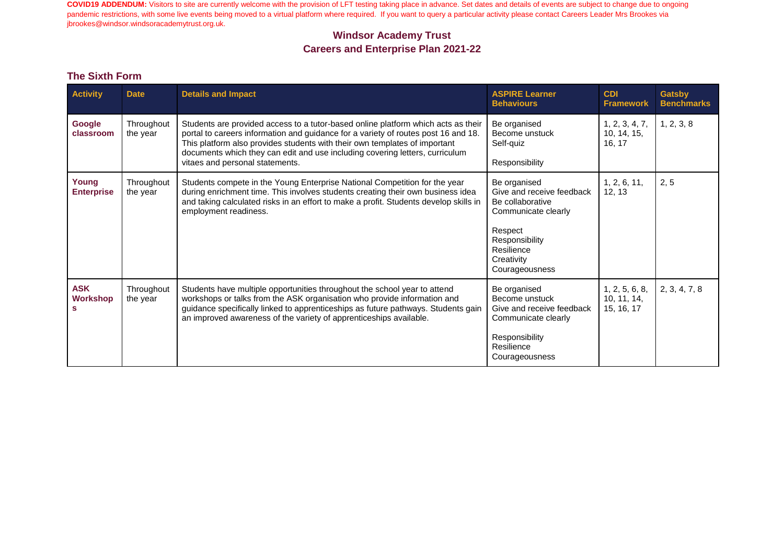# **Windsor Academy Trust Careers and Enterprise Plan 2021-22**

#### **The Sixth Form**

| <b>Activity</b>                    | <b>Date</b>            | <b>Details and Impact</b>                                                                                                                                                                                                                                                                                                                                                | <b>ASPIRE Learner</b><br><b>Behaviours</b>                                                                                                                      | <b>CDI</b><br><b>Framework</b>              | <b>Gatsby</b><br><b>Benchmarks</b> |
|------------------------------------|------------------------|--------------------------------------------------------------------------------------------------------------------------------------------------------------------------------------------------------------------------------------------------------------------------------------------------------------------------------------------------------------------------|-----------------------------------------------------------------------------------------------------------------------------------------------------------------|---------------------------------------------|------------------------------------|
| Google<br>classroom                | Throughout<br>the year | Students are provided access to a tutor-based online platform which acts as their<br>portal to careers information and guidance for a variety of routes post 16 and 18.<br>This platform also provides students with their own templates of important<br>documents which they can edit and use including covering letters, curriculum<br>vitaes and personal statements. | Be organised<br>Become unstuck<br>Self-quiz<br>Responsibility                                                                                                   | 1, 2, 3, 4, 7,<br>10, 14, 15,<br>16, 17     | 1, 2, 3, 8                         |
| Young<br><b>Enterprise</b>         | Throughout<br>the year | Students compete in the Young Enterprise National Competition for the year<br>during enrichment time. This involves students creating their own business idea<br>and taking calculated risks in an effort to make a profit. Students develop skills in<br>employment readiness.                                                                                          | Be organised<br>Give and receive feedback<br>Be collaborative<br>Communicate clearly<br>Respect<br>Responsibility<br>Resilience<br>Creativity<br>Courageousness | 1, 2, 6, 11,<br>12, 13                      | 2, 5                               |
| <b>ASK</b><br><b>Workshop</b><br>s | Throughout<br>the year | Students have multiple opportunities throughout the school year to attend<br>workshops or talks from the ASK organisation who provide information and<br>guidance specifically linked to apprenticeships as future pathways. Students gain<br>an improved awareness of the variety of apprenticeships available.                                                         | Be organised<br>Become unstuck<br>Give and receive feedback<br>Communicate clearly<br>Responsibility<br>Resilience<br>Courageousness                            | 1, 2, 5, 6, 8,<br>10, 11, 14,<br>15, 16, 17 | 2, 3, 4, 7, 8                      |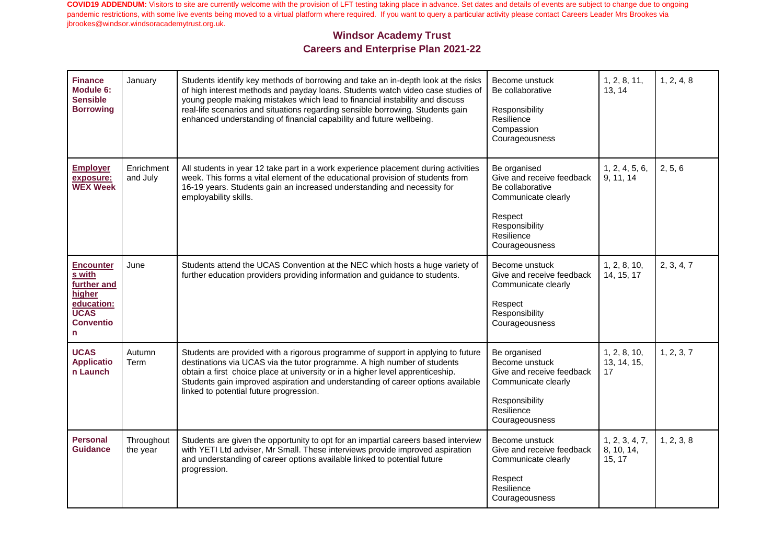| <b>Finance</b><br>Module 6:<br><b>Sensible</b><br><b>Borrowing</b>                                         | January                | Students identify key methods of borrowing and take an in-depth look at the risks<br>of high interest methods and payday loans. Students watch video case studies of<br>young people making mistakes which lead to financial instability and discuss<br>real-life scenarios and situations regarding sensible borrowing. Students gain<br>enhanced understanding of financial capability and future wellbeing. | Become unstuck<br>Be collaborative<br>Responsibility<br>Resilience<br>Compassion<br>Courageousness                                                | 1, 2, 8, 11,<br>13, 14                 | 1, 2, 4, 8 |
|------------------------------------------------------------------------------------------------------------|------------------------|----------------------------------------------------------------------------------------------------------------------------------------------------------------------------------------------------------------------------------------------------------------------------------------------------------------------------------------------------------------------------------------------------------------|---------------------------------------------------------------------------------------------------------------------------------------------------|----------------------------------------|------------|
| <b>Employer</b><br>exposure:<br><b>WEX Week</b>                                                            | Enrichment<br>and July | All students in year 12 take part in a work experience placement during activities<br>week. This forms a vital element of the educational provision of students from<br>16-19 years. Students gain an increased understanding and necessity for<br>employability skills.                                                                                                                                       | Be organised<br>Give and receive feedback<br>Be collaborative<br>Communicate clearly<br>Respect<br>Responsibility<br>Resilience<br>Courageousness | 1, 2, 4, 5, 6,<br>9, 11, 14            | 2, 5, 6    |
| <b>Encounter</b><br>s with<br>further and<br>higher<br>education:<br><b>UCAS</b><br><b>Conventio</b><br>n. | June                   | Students attend the UCAS Convention at the NEC which hosts a huge variety of<br>further education providers providing information and guidance to students.                                                                                                                                                                                                                                                    | Become unstuck<br>Give and receive feedback<br>Communicate clearly<br>Respect<br>Responsibility<br>Courageousness                                 | 1, 2, 8, 10,<br>14, 15, 17             | 2, 3, 4, 7 |
| <b>UCAS</b><br><b>Applicatio</b><br>n Launch                                                               | Autumn<br>Term         | Students are provided with a rigorous programme of support in applying to future<br>destinations via UCAS via the tutor programme. A high number of students<br>obtain a first choice place at university or in a higher level apprenticeship.<br>Students gain improved aspiration and understanding of career options available<br>linked to potential future progression.                                   | Be organised<br>Become unstuck<br>Give and receive feedback<br>Communicate clearly<br>Responsibility<br>Resilience<br>Courageousness              | 1, 2, 8, 10,<br>13, 14, 15,<br>17      | 1, 2, 3, 7 |
| <b>Personal</b><br><b>Guidance</b>                                                                         | Throughout<br>the year | Students are given the opportunity to opt for an impartial careers based interview<br>with YETI Ltd adviser, Mr Small. These interviews provide improved aspiration<br>and understanding of career options available linked to potential future<br>progression.                                                                                                                                                | Become unstuck<br>Give and receive feedback<br>Communicate clearly<br>Respect<br>Resilience<br>Courageousness                                     | 1, 2, 3, 4, 7,<br>8, 10, 14,<br>15, 17 | 1, 2, 3, 8 |